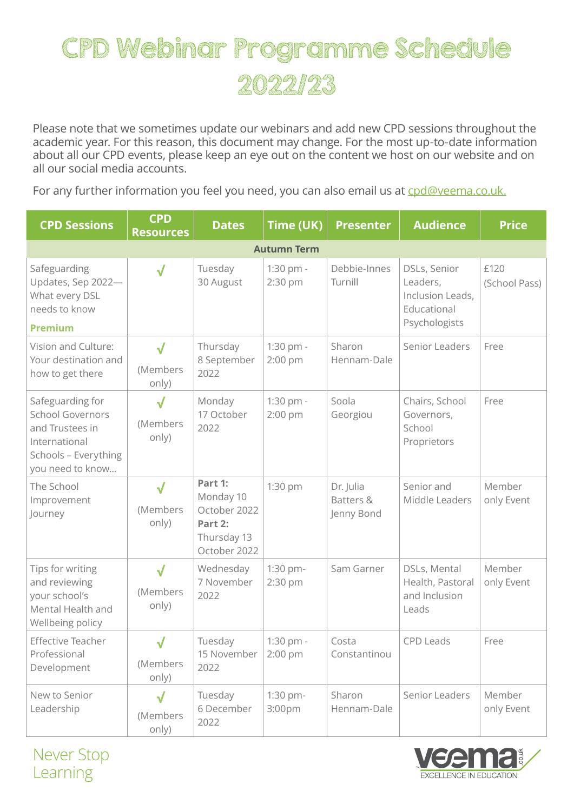## CPD Webinar Programme Schedule 2022/23

Please note that we sometimes update our webinars and add new CPD sessions throughout the academic year. For this reason, this document may change. For the most up-to-date information about all our CPD events, please keep an eye out on the content we host on our website and on all our social media accounts.

For any further information you feel you need, you can also email us at [cpd@veema.co.uk.](mailto:cpd%40veema.co.uk?subject=)

| <b>CPD Sessions</b>                                                                                                         | <b>CPD</b><br><b>Resources</b>    | <b>Dates</b>                                                                   | Time (UK)              | <b>Presenter</b>                     | <b>Audience</b>                                                              | <b>Price</b>          |  |  |  |  |
|-----------------------------------------------------------------------------------------------------------------------------|-----------------------------------|--------------------------------------------------------------------------------|------------------------|--------------------------------------|------------------------------------------------------------------------------|-----------------------|--|--|--|--|
| <b>Autumn Term</b>                                                                                                          |                                   |                                                                                |                        |                                      |                                                                              |                       |  |  |  |  |
| Safeguarding<br>Updates, Sep 2022-<br>What every DSL<br>needs to know                                                       | $\checkmark$                      | Tuesday<br>30 August                                                           | 1:30 pm -<br>2:30 pm   | Debbie-Innes<br>Turnill              | DSLs, Senior<br>Leaders,<br>Inclusion Leads,<br>Educational<br>Psychologists | £120<br>(School Pass) |  |  |  |  |
| <b>Premium</b>                                                                                                              |                                   |                                                                                |                        |                                      |                                                                              |                       |  |  |  |  |
| Vision and Culture:<br>Your destination and<br>how to get there                                                             | √<br>(Members<br>only)            | Thursday<br>8 September<br>2022                                                | 1:30 pm -<br>2:00 pm   | Sharon<br>Hennam-Dale                | Senior Leaders                                                               | Free                  |  |  |  |  |
| Safeguarding for<br><b>School Governors</b><br>and Trustees in<br>International<br>Schools - Everything<br>you need to know | √<br>(Members<br>only)            | Monday<br>17 October<br>2022                                                   | 1:30 pm -<br>$2:00$ pm | Soola<br>Georgiou                    | Chairs, School<br>Governors,<br>School<br>Proprietors                        | Free                  |  |  |  |  |
| The School<br>Improvement<br>Journey                                                                                        | √<br>(Members<br>only)            | Part 1:<br>Monday 10<br>October 2022<br>Part 2:<br>Thursday 13<br>October 2022 | 1:30 pm                | Dr. Julia<br>Batters &<br>Jenny Bond | Senior and<br>Middle Leaders                                                 | Member<br>only Event  |  |  |  |  |
| Tips for writing<br>and reviewing<br>your school's<br>Mental Health and<br>Wellbeing policy                                 | $\checkmark$<br>(Members<br>only) | Wednesday<br>7 November<br>2022                                                | 1:30 pm-<br>2:30 pm    | Sam Garner                           | DSLs, Mental<br>Health, Pastoral<br>and Inclusion<br>Leads                   | Member<br>only Event  |  |  |  |  |
| Effective Teacher<br>Professional<br>Development                                                                            | $\sqrt{2}$<br>(Members<br>only)   | Tuesday<br>15 November<br>2022                                                 | 1:30 pm -<br>$2:00$ pm | Costa<br>Constantinou                | CPD Leads                                                                    | Free                  |  |  |  |  |
| New to Senior<br>Leadership                                                                                                 | √<br>(Members<br>only)            | Tuesday<br>6 December<br>2022                                                  | 1:30 pm-<br>3:00pm     | Sharon<br>Hennam-Dale                | Senior Leaders                                                               | Member<br>only Event  |  |  |  |  |

Never Stop Learning